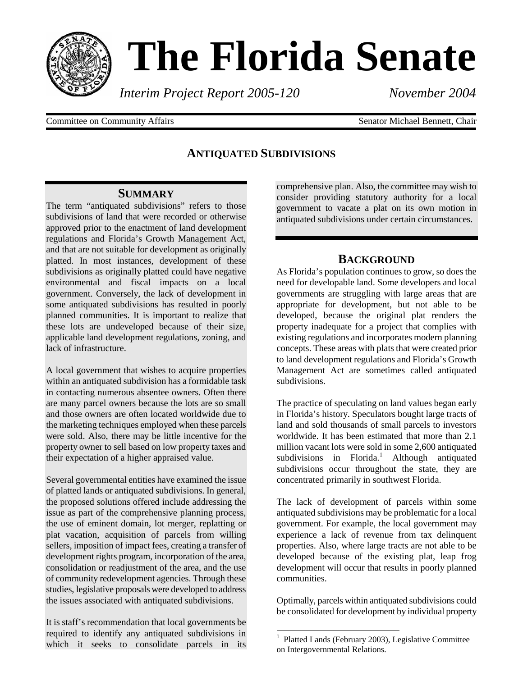

# **The Florida Senate**

*Interim Project Report 2005-120 November 2004*

Committee on Community Affairs **Senator Michael Bennett**, Chair

## **ANTIQUATED SUBDIVISIONS**

## **SUMMARY**

The term "antiquated subdivisions" refers to those subdivisions of land that were recorded or otherwise approved prior to the enactment of land development regulations and Florida's Growth Management Act, and that are not suitable for development as originally platted. In most instances, development of these subdivisions as originally platted could have negative environmental and fiscal impacts on a local government. Conversely, the lack of development in some antiquated subdivisions has resulted in poorly planned communities. It is important to realize that these lots are undeveloped because of their size, applicable land development regulations, zoning, and lack of infrastructure.

A local government that wishes to acquire properties within an antiquated subdivision has a formidable task in contacting numerous absentee owners. Often there are many parcel owners because the lots are so small and those owners are often located worldwide due to the marketing techniques employed when these parcels were sold. Also, there may be little incentive for the property owner to sell based on low property taxes and their expectation of a higher appraised value.

Several governmental entities have examined the issue of platted lands or antiquated subdivisions. In general, the proposed solutions offered include addressing the issue as part of the comprehensive planning process, the use of eminent domain, lot merger, replatting or plat vacation, acquisition of parcels from willing sellers, imposition of impact fees, creating a transfer of development rights program, incorporation of the area, consolidation or readjustment of the area, and the use of community redevelopment agencies. Through these studies, legislative proposals were developed to address the issues associated with antiquated subdivisions.

It is staff's recommendation that local governments be required to identify any antiquated subdivisions in which it seeks to consolidate parcels in its comprehensive plan. Also, the committee may wish to consider providing statutory authority for a local government to vacate a plat on its own motion in antiquated subdivisions under certain circumstances.

## **BACKGROUND**

As Florida's population continues to grow, so does the need for developable land. Some developers and local governments are struggling with large areas that are appropriate for development, but not able to be developed, because the original plat renders the property inadequate for a project that complies with existing regulations and incorporates modern planning concepts. These areas with plats that were created prior to land development regulations and Florida's Growth Management Act are sometimes called antiquated subdivisions.

The practice of speculating on land values began early in Florida's history. Speculators bought large tracts of land and sold thousands of small parcels to investors worldwide. It has been estimated that more than 2.1 million vacant lots were sold in some 2,600 antiquated subdivisions in Florida.<sup>1</sup> Although antiquated subdivisions occur throughout the state, they are concentrated primarily in southwest Florida.

The lack of development of parcels within some antiquated subdivisions may be problematic for a local government. For example, the local government may experience a lack of revenue from tax delinquent properties. Also, where large tracts are not able to be developed because of the existing plat, leap frog development will occur that results in poorly planned communities.

Optimally, parcels within antiquated subdivisions could be consolidated for development by individual property

 $\overline{a}$ 

<sup>1</sup> Platted Lands (February 2003), Legislative Committee on Intergovernmental Relations.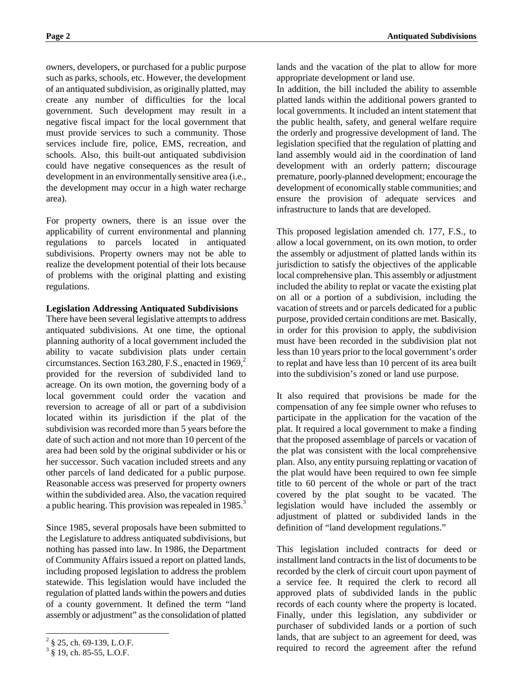owners, developers, or purchased for a public purpose such as parks, schools, etc. However, the development of an antiquated subdivision, as originally platted, may create any number of difficulties for the local government. Such development may result in a negative fiscal impact for the local government that must provide services to such a community. Those services include fire, police, EMS, recreation, and schools. Also, this built-out antiquated subdivision could have negative consequences as the result of development in an environmentally sensitive area (i.e., the development may occur in a high water recharge area).

For property owners, there is an issue over the applicability of current environmental and planning regulations to parcels located in antiquated subdivisions. Property owners may not be able to realize the development potential of their lots because of problems with the original platting and existing regulations.

#### **Legislation Addressing Antiquated Subdivisions**

There have been several legislative attempts to address antiquated subdivisions. At one time, the optional planning authority of a local government included the ability to vacate subdivision plats under certain circumstances. Section 163.280, F.S., enacted in  $1969$ , $^{2}$ provided for the reversion of subdivided land to acreage. On its own motion, the governing body of a local government could order the vacation and reversion to acreage of all or part of a subdivision located within its jurisdiction if the plat of the subdivision was recorded more than 5 years before the date of such action and not more than 10 percent of the area had been sold by the original subdivider or his or her successor. Such vacation included streets and any other parcels of land dedicated for a public purpose. Reasonable access was preserved for property owners within the subdivided area. Also, the vacation required a public hearing. This provision was repealed in 1985.<sup>3</sup>

Since 1985, several proposals have been submitted to the Legislature to address antiquated subdivisions, but nothing has passed into law. In 1986, the Department of Community Affairs issued a report on platted lands, including proposed legislation to address the problem statewide. This legislation would have included the regulation of platted lands within the powers and duties of a county government. It defined the term "land assembly or adjustment" as the consolidation of platted

-

lands and the vacation of the plat to allow for more appropriate development or land use.

In addition, the bill included the ability to assemble platted lands within the additional powers granted to local governments. It included an intent statement that the public health, safety, and general welfare require the orderly and progressive development of land. The legislation specified that the regulation of platting and land assembly would aid in the coordination of land development with an orderly pattern; discourage premature, poorly-planned development; encourage the development of economically stable communities; and ensure the provision of adequate services and infrastructure to lands that are developed.

This proposed legislation amended ch. 177, F.S., to allow a local government, on its own motion, to order the assembly or adjustment of platted lands within its jurisdiction to satisfy the objectives of the applicable local comprehensive plan. This assembly or adjustment included the ability to replat or vacate the existing plat on all or a portion of a subdivision, including the vacation of streets and or parcels dedicated for a public purpose, provided certain conditions are met. Basically, in order for this provision to apply, the subdivision must have been recorded in the subdivision plat not less than 10 years prior to the local government's order to replat and have less than 10 percent of its area built into the subdivision's zoned or land use purpose.

It also required that provisions be made for the compensation of any fee simple owner who refuses to participate in the application for the vacation of the plat. It required a local government to make a finding that the proposed assemblage of parcels or vacation of the plat was consistent with the local comprehensive plan. Also, any entity pursuing replatting or vacation of the plat would have been required to own fee simple title to 60 percent of the whole or part of the tract covered by the plat sought to be vacated. The legislation would have included the assembly or adjustment of platted or subdivided lands in the definition of "land development regulations."

This legislation included contracts for deed or installment land contracts in the list of documents to be recorded by the clerk of circuit court upon payment of a service fee. It required the clerk to record all approved plats of subdivided lands in the public records of each county where the property is located. Finally, under this legislation, any subdivider or purchaser of subdivided lands or a portion of such lands, that are subject to an agreement for deed, was required to record the agreement after the refund

 $2\frac{2}{9}$  \$ 25, ch. 69-139, L.O.F.

 $3 \S 19$ , ch. 85-55, L.O.F.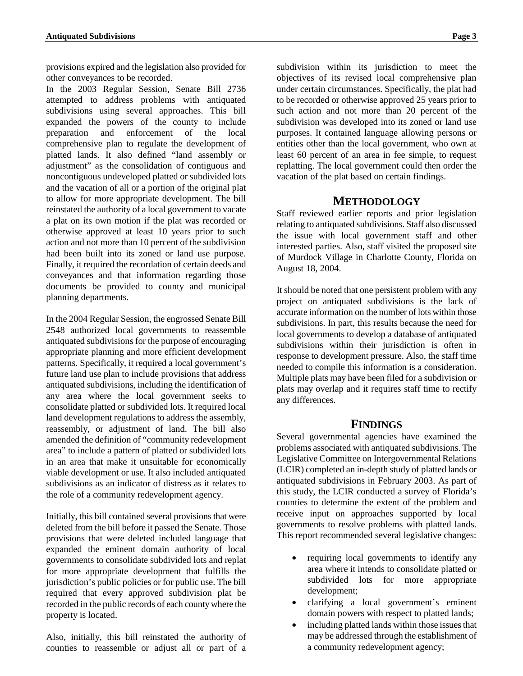provisions expired and the legislation also provided for other conveyances to be recorded.

In the 2003 Regular Session, Senate Bill 2736 attempted to address problems with antiquated subdivisions using several approaches. This bill expanded the powers of the county to include preparation and enforcement of the local comprehensive plan to regulate the development of platted lands. It also defined "land assembly or adjustment" as the consolidation of contiguous and noncontiguous undeveloped platted or subdivided lots and the vacation of all or a portion of the original plat to allow for more appropriate development. The bill reinstated the authority of a local government to vacate a plat on its own motion if the plat was recorded or otherwise approved at least 10 years prior to such action and not more than 10 percent of the subdivision had been built into its zoned or land use purpose. Finally, it required the recordation of certain deeds and conveyances and that information regarding those documents be provided to county and municipal planning departments.

In the 2004 Regular Session, the engrossed Senate Bill 2548 authorized local governments to reassemble antiquated subdivisions for the purpose of encouraging appropriate planning and more efficient development patterns. Specifically, it required a local government's future land use plan to include provisions that address antiquated subdivisions, including the identification of any area where the local government seeks to consolidate platted or subdivided lots. It required local land development regulations to address the assembly, reassembly, or adjustment of land. The bill also amended the definition of "community redevelopment area" to include a pattern of platted or subdivided lots in an area that make it unsuitable for economically viable development or use. It also included antiquated subdivisions as an indicator of distress as it relates to the role of a community redevelopment agency.

Initially, this bill contained several provisions that were deleted from the bill before it passed the Senate. Those provisions that were deleted included language that expanded the eminent domain authority of local governments to consolidate subdivided lots and replat for more appropriate development that fulfills the jurisdiction's public policies or for public use. The bill required that every approved subdivision plat be recorded in the public records of each county where the property is located.

Also, initially, this bill reinstated the authority of counties to reassemble or adjust all or part of a

subdivision within its jurisdiction to meet the objectives of its revised local comprehensive plan under certain circumstances. Specifically, the plat had to be recorded or otherwise approved 25 years prior to such action and not more than 20 percent of the subdivision was developed into its zoned or land use purposes. It contained language allowing persons or entities other than the local government, who own at least 60 percent of an area in fee simple, to request replatting. The local government could then order the vacation of the plat based on certain findings.

### **METHODOLOGY**

Staff reviewed earlier reports and prior legislation relating to antiquated subdivisions. Staff also discussed the issue with local government staff and other interested parties. Also, staff visited the proposed site of Murdock Village in Charlotte County, Florida on August 18, 2004.

It should be noted that one persistent problem with any project on antiquated subdivisions is the lack of accurate information on the number of lots within those subdivisions. In part, this results because the need for local governments to develop a database of antiquated subdivisions within their jurisdiction is often in response to development pressure. Also, the staff time needed to compile this information is a consideration. Multiple plats may have been filed for a subdivision or plats may overlap and it requires staff time to rectify any differences.

## **FINDINGS**

Several governmental agencies have examined the problems associated with antiquated subdivisions. The Legislative Committee on Intergovernmental Relations (LCIR) completed an in-depth study of platted lands or antiquated subdivisions in February 2003. As part of this study, the LCIR conducted a survey of Florida's counties to determine the extent of the problem and receive input on approaches supported by local governments to resolve problems with platted lands. This report recommended several legislative changes:

- requiring local governments to identify any area where it intends to consolidate platted or subdivided lots for more appropriate development;
- clarifying a local government's eminent domain powers with respect to platted lands;
- including platted lands within those issues that may be addressed through the establishment of a community redevelopment agency;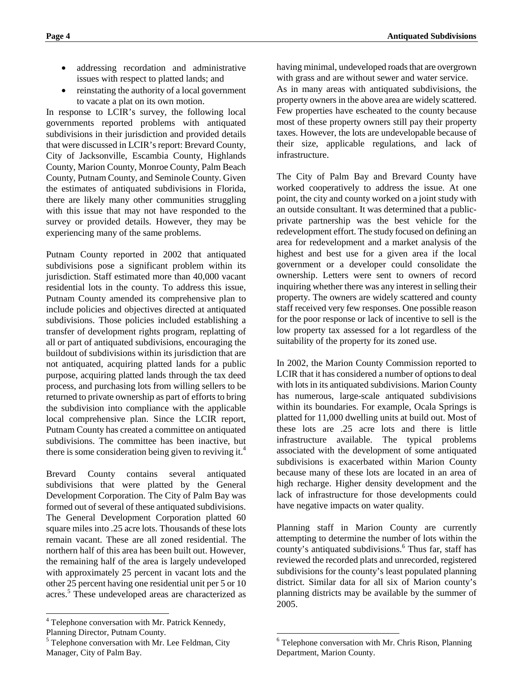- addressing recordation and administrative issues with respect to platted lands; and
- reinstating the authority of a local government to vacate a plat on its own motion.

In response to LCIR's survey, the following local governments reported problems with antiquated subdivisions in their jurisdiction and provided details that were discussed in LCIR's report: Brevard County, City of Jacksonville, Escambia County, Highlands County, Marion County, Monroe County, Palm Beach County, Putnam County, and Seminole County. Given the estimates of antiquated subdivisions in Florida, there are likely many other communities struggling with this issue that may not have responded to the survey or provided details. However, they may be experiencing many of the same problems.

Putnam County reported in 2002 that antiquated subdivisions pose a significant problem within its jurisdiction. Staff estimated more than 40,000 vacant residential lots in the county. To address this issue, Putnam County amended its comprehensive plan to include policies and objectives directed at antiquated subdivisions. Those policies included establishing a transfer of development rights program, replatting of all or part of antiquated subdivisions, encouraging the buildout of subdivisions within its jurisdiction that are not antiquated, acquiring platted lands for a public purpose, acquiring platted lands through the tax deed process, and purchasing lots from willing sellers to be returned to private ownership as part of efforts to bring the subdivision into compliance with the applicable local comprehensive plan. Since the LCIR report, Putnam County has created a committee on antiquated subdivisions. The committee has been inactive, but there is some consideration being given to reviving it.<sup>4</sup>

Brevard County contains several antiquated subdivisions that were platted by the General Development Corporation. The City of Palm Bay was formed out of several of these antiquated subdivisions. The General Development Corporation platted 60 square miles into .25 acre lots. Thousands of these lots remain vacant. These are all zoned residential. The northern half of this area has been built out. However, the remaining half of the area is largely undeveloped with approximately 25 percent in vacant lots and the other 25 percent having one residential unit per 5 or 10 acres.<sup>5</sup> These undeveloped areas are characterized as

1

having minimal, undeveloped roads that are overgrown with grass and are without sewer and water service.

As in many areas with antiquated subdivisions, the property owners in the above area are widely scattered. Few properties have escheated to the county because most of these property owners still pay their property taxes. However, the lots are undevelopable because of their size, applicable regulations, and lack of infrastructure.

The City of Palm Bay and Brevard County have worked cooperatively to address the issue. At one point, the city and county worked on a joint study with an outside consultant. It was determined that a publicprivate partnership was the best vehicle for the redevelopment effort. The study focused on defining an area for redevelopment and a market analysis of the highest and best use for a given area if the local government or a developer could consolidate the ownership. Letters were sent to owners of record inquiring whether there was any interest in selling their property. The owners are widely scattered and county staff received very few responses. One possible reason for the poor response or lack of incentive to sell is the low property tax assessed for a lot regardless of the suitability of the property for its zoned use.

In 2002, the Marion County Commission reported to LCIR that it has considered a number of options to deal with lots in its antiquated subdivisions. Marion County has numerous, large-scale antiquated subdivisions within its boundaries. For example, Ocala Springs is platted for 11,000 dwelling units at build out. Most of these lots are .25 acre lots and there is little infrastructure available. The typical problems associated with the development of some antiquated subdivisions is exacerbated within Marion County because many of these lots are located in an area of high recharge. Higher density development and the lack of infrastructure for those developments could have negative impacts on water quality.

Planning staff in Marion County are currently attempting to determine the number of lots within the county's antiquated subdivisions.<sup>6</sup> Thus far, staff has reviewed the recorded plats and unrecorded, registered subdivisions for the county's least populated planning district. Similar data for all six of Marion county's planning districts may be available by the summer of 2005.

<sup>&</sup>lt;sup>4</sup> Telephone conversation with Mr. Patrick Kennedy,

Planning Director, Putnam County.

 $<sup>5</sup>$  Telephone conversation with Mr. Lee Feldman, City</sup> Manager, City of Palm Bay.

<sup>-</sup><sup>6</sup> Telephone conversation with Mr. Chris Rison, Planning Department, Marion County.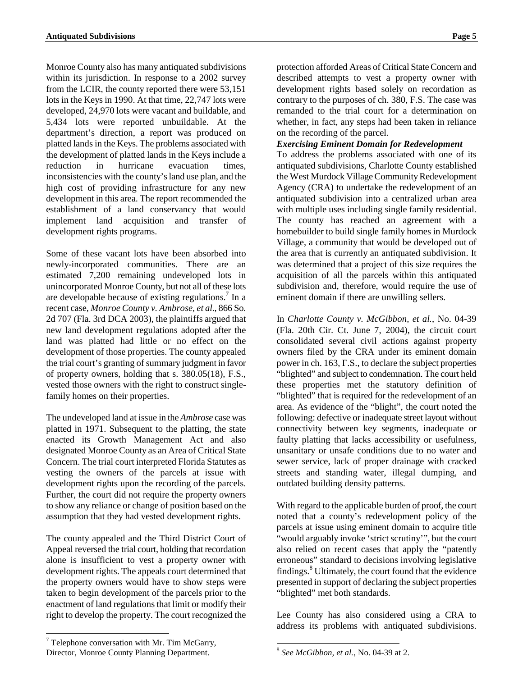Monroe County also has many antiquated subdivisions within its jurisdiction. In response to a 2002 survey from the LCIR, the county reported there were 53,151 lots in the Keys in 1990. At that time, 22,747 lots were developed, 24,970 lots were vacant and buildable, and 5,434 lots were reported unbuildable. At the department's direction, a report was produced on platted lands in the Keys. The problems associated with the development of platted lands in the Keys include a reduction in hurricane evacuation times, inconsistencies with the county's land use plan, and the high cost of providing infrastructure for any new development in this area. The report recommended the establishment of a land conservancy that would implement land acquisition and transfer of development rights programs.

Some of these vacant lots have been absorbed into newly-incorporated communities. There are an estimated 7,200 remaining undeveloped lots in unincorporated Monroe County, but not all of these lots are developable because of existing regulations.<sup>7</sup> In a recent case, *Monroe County v. Ambrose, et al*., 866 So. 2d 707 (Fla. 3rd DCA 2003), the plaintiffs argued that new land development regulations adopted after the land was platted had little or no effect on the development of those properties. The county appealed the trial court's granting of summary judgment in favor of property owners, holding that s. 380.05(18), F.S., vested those owners with the right to construct singlefamily homes on their properties.

The undeveloped land at issue in the *Ambrose* case was platted in 1971. Subsequent to the platting, the state enacted its Growth Management Act and also designated Monroe County as an Area of Critical State Concern. The trial court interpreted Florida Statutes as vesting the owners of the parcels at issue with development rights upon the recording of the parcels. Further, the court did not require the property owners to show any reliance or change of position based on the assumption that they had vested development rights.

The county appealed and the Third District Court of Appeal reversed the trial court, holding that recordation alone is insufficient to vest a property owner with development rights. The appeals court determined that the property owners would have to show steps were taken to begin development of the parcels prior to the enactment of land regulations that limit or modify their right to develop the property. The court recognized the

protection afforded Areas of Critical State Concern and described attempts to vest a property owner with development rights based solely on recordation as contrary to the purposes of ch. 380, F.S. The case was remanded to the trial court for a determination on whether, in fact, any steps had been taken in reliance on the recording of the parcel.

#### *Exercising Eminent Domain for Redevelopment*

To address the problems associated with one of its antiquated subdivisions, Charlotte County established the West Murdock Village Community Redevelopment Agency (CRA) to undertake the redevelopment of an antiquated subdivision into a centralized urban area with multiple uses including single family residential. The county has reached an agreement with a homebuilder to build single family homes in Murdock Village, a community that would be developed out of the area that is currently an antiquated subdivision. It was determined that a project of this size requires the acquisition of all the parcels within this antiquated subdivision and, therefore, would require the use of eminent domain if there are unwilling sellers.

In *Charlotte County v. McGibbon, et al.*, No. 04-39 (Fla. 20th Cir. Ct. June 7, 2004), the circuit court consolidated several civil actions against property owners filed by the CRA under its eminent domain power in ch. 163, F.S., to declare the subject properties "blighted" and subject to condemnation. The court held these properties met the statutory definition of "blighted" that is required for the redevelopment of an area. As evidence of the "blight", the court noted the following: defective or inadequate street layout without connectivity between key segments, inadequate or faulty platting that lacks accessibility or usefulness, unsanitary or unsafe conditions due to no water and sewer service, lack of proper drainage with cracked streets and standing water, illegal dumping, and outdated building density patterns.

With regard to the applicable burden of proof, the court noted that a county's redevelopment policy of the parcels at issue using eminent domain to acquire title "would arguably invoke 'strict scrutiny'", but the court also relied on recent cases that apply the "patently erroneous" standard to decisions involving legislative findings.<sup>8</sup> Ultimately, the court found that the evidence presented in support of declaring the subject properties "blighted" met both standards.

Lee County has also considered using a CRA to address its problems with antiquated subdivisions.

<sup>-</sup> $7$  Telephone conversation with Mr. Tim McGarry, Director, Monroe County Planning Department.

 $\overline{a}$ <sup>8</sup> *See McGibbon, et al.*, No. 04-39 at 2.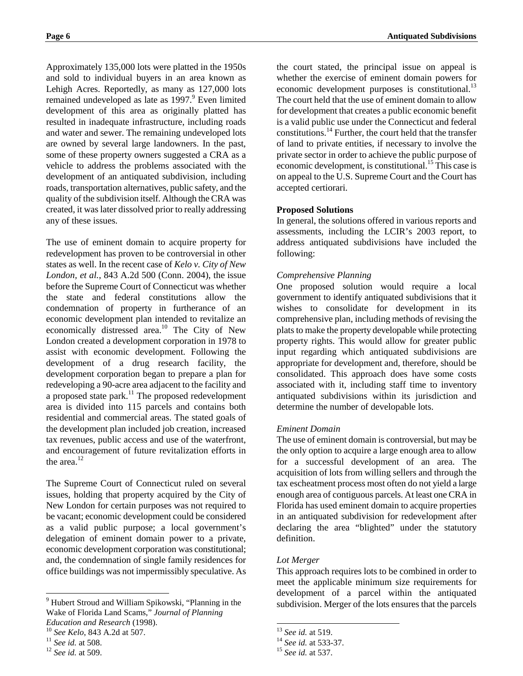Approximately 135,000 lots were platted in the 1950s and sold to individual buyers in an area known as Lehigh Acres. Reportedly, as many as 127,000 lots remained undeveloped as late as 1997.<sup>9</sup> Even limited development of this area as originally platted has resulted in inadequate infrastructure, including roads and water and sewer. The remaining undeveloped lots are owned by several large landowners. In the past, some of these property owners suggested a CRA as a vehicle to address the problems associated with the development of an antiquated subdivision, including roads, transportation alternatives, public safety, and the quality of the subdivision itself. Although the CRA was created, it was later dissolved prior to really addressing any of these issues.

The use of eminent domain to acquire property for redevelopment has proven to be controversial in other states as well. In the recent case of *Kelo v. City of New London, et al.*, 843 A.2d 500 (Conn. 2004), the issue before the Supreme Court of Connecticut was whether the state and federal constitutions allow the condemnation of property in furtherance of an economic development plan intended to revitalize an economically distressed area.<sup>10</sup> The City of New London created a development corporation in 1978 to assist with economic development. Following the development of a drug research facility, the development corporation began to prepare a plan for redeveloping a 90-acre area adjacent to the facility and a proposed state park. $^{11}$  The proposed redevelopment area is divided into 115 parcels and contains both residential and commercial areas. The stated goals of the development plan included job creation, increased tax revenues, public access and use of the waterfront, and encouragement of future revitalization efforts in the area. $12$ 

The Supreme Court of Connecticut ruled on several issues, holding that property acquired by the City of New London for certain purposes was not required to be vacant; economic development could be considered as a valid public purpose; a local government's delegation of eminent domain power to a private, economic development corporation was constitutional; and, the condemnation of single family residences for office buildings was not impermissibly speculative. As

-

the court stated, the principal issue on appeal is whether the exercise of eminent domain powers for economic development purposes is constitutional.<sup>13</sup> The court held that the use of eminent domain to allow for development that creates a public economic benefit is a valid public use under the Connecticut and federal constitutions.<sup>14</sup> Further, the court held that the transfer of land to private entities, if necessary to involve the private sector in order to achieve the public purpose of economic development, is constitutional.<sup>15</sup> This case is on appeal to the U.S. Supreme Court and the Court has accepted certiorari.

#### **Proposed Solutions**

In general, the solutions offered in various reports and assessments, including the LCIR's 2003 report, to address antiquated subdivisions have included the following:

#### *Comprehensive Planning*

One proposed solution would require a local government to identify antiquated subdivisions that it wishes to consolidate for development in its comprehensive plan, including methods of revising the plats to make the property developable while protecting property rights. This would allow for greater public input regarding which antiquated subdivisions are appropriate for development and, therefore, should be consolidated. This approach does have some costs associated with it, including staff time to inventory antiquated subdivisions within its jurisdiction and determine the number of developable lots.

#### *Eminent Domain*

The use of eminent domain is controversial, but may be the only option to acquire a large enough area to allow for a successful development of an area. The acquisition of lots from willing sellers and through the tax escheatment process most often do not yield a large enough area of contiguous parcels. At least one CRA in Florida has used eminent domain to acquire properties in an antiquated subdivision for redevelopment after declaring the area "blighted" under the statutory definition.

#### *Lot Merger*

This approach requires lots to be combined in order to meet the applicable minimum size requirements for development of a parcel within the antiquated subdivision. Merger of the lots ensures that the parcels

-

<sup>&</sup>lt;sup>9</sup> Hubert Stroud and William Spikowski, "Planning in the Wake of Florida Land Scams," *Journal of Planning* 

*Education and Research* (1998).<br><sup>10</sup> *See Kelo*, 843 A.2d at 507.<br><sup>11</sup> *See id.* at 508.<br><sup>12</sup> *See id.* at 509.

<sup>13</sup> *See id.* at 519. 14 *See id.* at 533-37. 15 *See id.* at 537.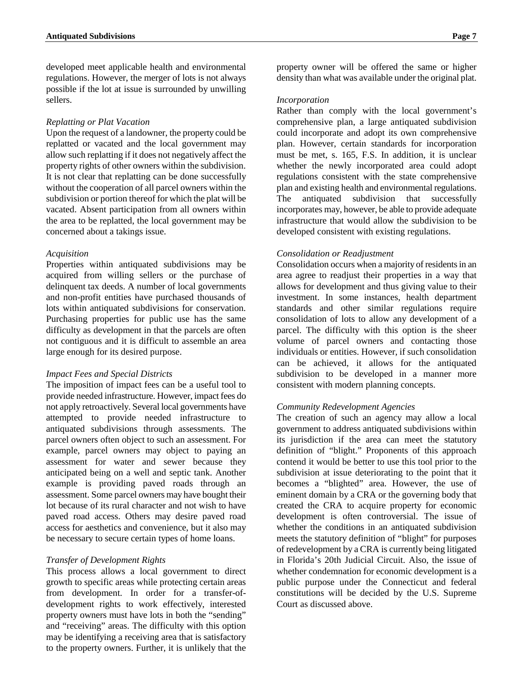developed meet applicable health and environmental regulations. However, the merger of lots is not always possible if the lot at issue is surrounded by unwilling sellers.

#### *Replatting or Plat Vacation*

Upon the request of a landowner, the property could be replatted or vacated and the local government may allow such replatting if it does not negatively affect the property rights of other owners within the subdivision. It is not clear that replatting can be done successfully without the cooperation of all parcel owners within the subdivision or portion thereof for which the plat will be vacated. Absent participation from all owners within the area to be replatted, the local government may be concerned about a takings issue.

#### *Acquisition*

Properties within antiquated subdivisions may be acquired from willing sellers or the purchase of delinquent tax deeds. A number of local governments and non-profit entities have purchased thousands of lots within antiquated subdivisions for conservation. Purchasing properties for public use has the same difficulty as development in that the parcels are often not contiguous and it is difficult to assemble an area large enough for its desired purpose.

#### *Impact Fees and Special Districts*

The imposition of impact fees can be a useful tool to provide needed infrastructure. However, impact fees do not apply retroactively. Several local governments have attempted to provide needed infrastructure to antiquated subdivisions through assessments. The parcel owners often object to such an assessment. For example, parcel owners may object to paying an assessment for water and sewer because they anticipated being on a well and septic tank. Another example is providing paved roads through an assessment. Some parcel owners may have bought their lot because of its rural character and not wish to have paved road access. Others may desire paved road access for aesthetics and convenience, but it also may be necessary to secure certain types of home loans.

#### *Transfer of Development Rights*

This process allows a local government to direct growth to specific areas while protecting certain areas from development. In order for a transfer-ofdevelopment rights to work effectively, interested property owners must have lots in both the "sending" and "receiving" areas. The difficulty with this option may be identifying a receiving area that is satisfactory to the property owners. Further, it is unlikely that the property owner will be offered the same or higher density than what was available under the original plat.

#### *Incorporation*

Rather than comply with the local government's comprehensive plan, a large antiquated subdivision could incorporate and adopt its own comprehensive plan. However, certain standards for incorporation must be met, s. 165, F.S. In addition, it is unclear whether the newly incorporated area could adopt regulations consistent with the state comprehensive plan and existing health and environmental regulations. The antiquated subdivision that successfully incorporates may, however, be able to provide adequate infrastructure that would allow the subdivision to be developed consistent with existing regulations.

#### *Consolidation or Readjustment*

Consolidation occurs when a majority of residents in an area agree to readjust their properties in a way that allows for development and thus giving value to their investment. In some instances, health department standards and other similar regulations require consolidation of lots to allow any development of a parcel. The difficulty with this option is the sheer volume of parcel owners and contacting those individuals or entities. However, if such consolidation can be achieved, it allows for the antiquated subdivision to be developed in a manner more consistent with modern planning concepts.

#### *Community Redevelopment Agencies*

The creation of such an agency may allow a local government to address antiquated subdivisions within its jurisdiction if the area can meet the statutory definition of "blight." Proponents of this approach contend it would be better to use this tool prior to the subdivision at issue deteriorating to the point that it becomes a "blighted" area. However, the use of eminent domain by a CRA or the governing body that created the CRA to acquire property for economic development is often controversial. The issue of whether the conditions in an antiquated subdivision meets the statutory definition of "blight" for purposes of redevelopment by a CRA is currently being litigated in Florida's 20th Judicial Circuit. Also, the issue of whether condemnation for economic development is a public purpose under the Connecticut and federal constitutions will be decided by the U.S. Supreme Court as discussed above.